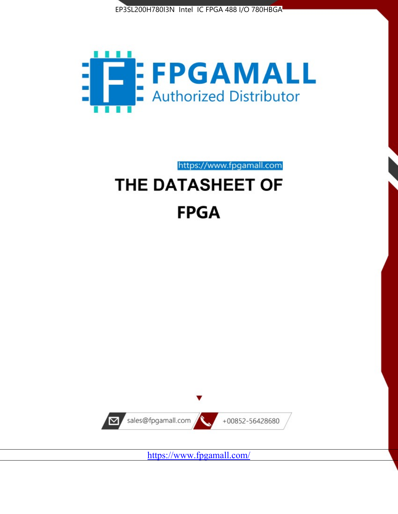



https://www.fpgamall.com

# THE DATASHEET OF **FPGA**



<https://www.fpgamall.com/>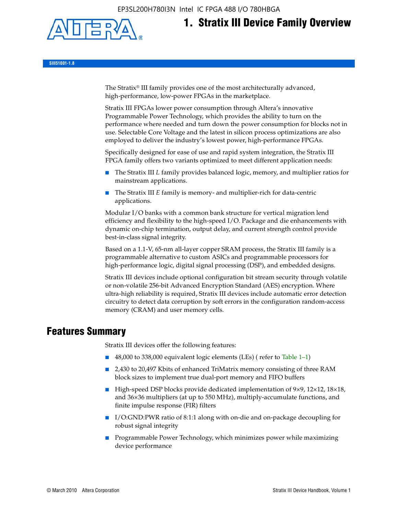EP3SL200H780I3N Intel IC FPGA 488 I/O 780HBGA



# **1. Stratix III Device Family Overview**

**SIII51001-1.8**

The Stratix® III family provides one of the most architecturally advanced, high-performance, low-power FPGAs in the marketplace.

Stratix III FPGAs lower power consumption through Altera's innovative Programmable Power Technology, which provides the ability to turn on the performance where needed and turn down the power consumption for blocks not in use. Selectable Core Voltage and the latest in silicon process optimizations are also employed to deliver the industry's lowest power, high-performance FPGAs.

Specifically designed for ease of use and rapid system integration, the Stratix III FPGA family offers two variants optimized to meet different application needs:

- The Stratix III *L* family provides balanced logic, memory, and multiplier ratios for mainstream applications.
- The Stratix III *E* family is memory- and multiplier-rich for data-centric applications.

Modular I/O banks with a common bank structure for vertical migration lend efficiency and flexibility to the high-speed I/O. Package and die enhancements with dynamic on-chip termination, output delay, and current strength control provide best-in-class signal integrity.

Based on a 1.1-V, 65-nm all-layer copper SRAM process, the Stratix III family is a programmable alternative to custom ASICs and programmable processors for high-performance logic, digital signal processing (DSP), and embedded designs.

Stratix III devices include optional configuration bit stream security through volatile or non-volatile 256-bit Advanced Encryption Standard (AES) encryption. Where ultra-high reliability is required, Stratix III devices include automatic error detection circuitry to detect data corruption by soft errors in the configuration random-access memory (CRAM) and user memory cells.

## **Features Summary**

Stratix III devices offer the following features:

- 48,000 to 338,000 equivalent logic elements (LEs) (refer to Table 1–1)
- 2,430 to 20,497 Kbits of enhanced TriMatrix memory consisting of three RAM block sizes to implement true dual-port memory and FIFO buffers
- High-speed DSP blocks provide dedicated implementation of 9×9, 12×12, 18×18, and 36×36 multipliers (at up to 550 MHz), multiply-accumulate functions, and finite impulse response (FIR) filters
- I/O:GND:PWR ratio of 8:1:1 along with on-die and on-package decoupling for robust signal integrity
- Programmable Power Technology, which minimizes power while maximizing device performance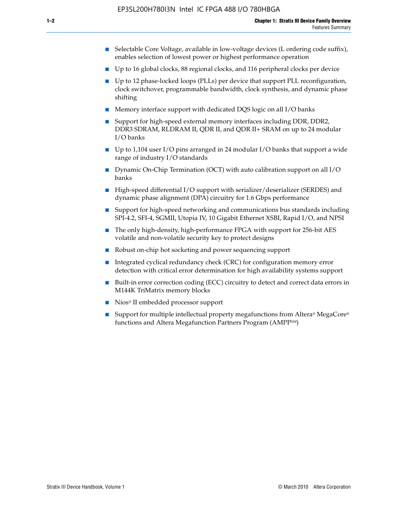- Selectable Core Voltage, available in low-voltage devices (L ordering code suffix), enables selection of lowest power or highest performance operation
- Up to 16 global clocks, 88 regional clocks, and 116 peripheral clocks per device
- Up to 12 phase-locked loops (PLLs) per device that support PLL reconfiguration, clock switchover, programmable bandwidth, clock synthesis, and dynamic phase shifting
- Memory interface support with dedicated DQS logic on all I/O banks
- Support for high-speed external memory interfaces including DDR, DDR2, DDR3 SDRAM, RLDRAM II, QDR II, and QDR II+ SRAM on up to 24 modular I/O banks
- Up to 1,104 user I/O pins arranged in 24 modular I/O banks that support a wide range of industry I/O standards
- Dynamic On-Chip Termination (OCT) with auto calibration support on all  $I/O$ banks
- High-speed differential I/O support with serializer/deserializer (SERDES) and dynamic phase alignment (DPA) circuitry for 1.6 Gbps performance
- Support for high-speed networking and communications bus standards including SPI-4.2, SFI-4, SGMII, Utopia IV, 10 Gigabit Ethernet XSBI, Rapid I/O, and NPSI
- The only high-density, high-performance FPGA with support for 256-bit AES volatile and non-volatile security key to protect designs
- Robust on-chip hot socketing and power sequencing support
- Integrated cyclical redundancy check (CRC) for configuration memory error detection with critical error determination for high availability systems support
- Built-in error correction coding (ECC) circuitry to detect and correct data errors in M144K TriMatrix memory blocks
- Nios<sup>®</sup> II embedded processor support
- Support for multiple intellectual property megafunctions from Altera® MegaCore® functions and Altera Megafunction Partners Program (AMPPSM)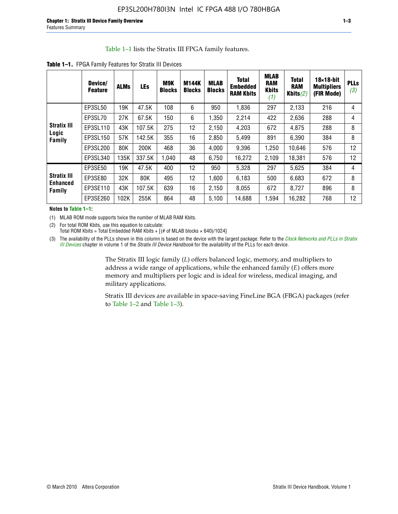#### Table 1–1 lists the Stratix III FPGA family features.

|                                | Device/<br><b>Feature</b> | <b>ALMs</b> | LEs    | M9K<br><b>Blocks</b> | <b>M144K</b><br><b>Blocks</b> | <b>MLAB</b><br><b>Blocks</b> | <b>Total</b><br><b>Embedded</b><br><b>RAM Kbits</b> | <b>MLAB</b><br><b>RAM</b><br><b>Kbits</b><br>(1) | <b>Total</b><br><b>RAM</b><br>Kbits $(2)$ | $18\times18$ -bit<br><b>Multipliers</b><br>(FIR Mode) | <b>PLL</b><br>(3, |
|--------------------------------|---------------------------|-------------|--------|----------------------|-------------------------------|------------------------------|-----------------------------------------------------|--------------------------------------------------|-------------------------------------------|-------------------------------------------------------|-------------------|
|                                | EP3SL50                   | 19K         | 47.5K  | 108                  | 6                             | 950                          | 1,836                                               | 297                                              | 2,133                                     | 216                                                   | 4                 |
| Stratix III<br>Logic<br>Family | EP3SL70                   | 27K         | 67.5K  | 150                  | 6                             | 1,350                        | 2,214                                               | 422                                              | 2,636                                     | 288                                                   | 4                 |
|                                | EP3SL110                  | 43K         | 107.5K | 275                  | 12                            | 2,150                        | 4,203                                               | 672                                              | 4,875                                     | 288                                                   | 8                 |
|                                | EP3SL150                  | 57K         | 142.5K | 355                  | 16                            | 2,850                        | 5,499                                               | 891                                              | 6,390                                     | 384                                                   | 8                 |
|                                | EP3SL200                  | 80K         | 200K   | 468                  | 36                            | 4,000                        | 9,396                                               | 1,250                                            | 10,646                                    | 576                                                   | 12                |
|                                | EP3SL340                  | 135K        | 337.5K | 1,040                | 48                            | 6,750                        | 16,272                                              | 2,109                                            | 18,381                                    | 576                                                   | 12                |
|                                | EP3SE50                   | 19K         | 47.5K  | 400                  | 12                            | 950                          | 5,328                                               | 297                                              | 5,625                                     | 384                                                   | 4                 |
| Stratix III                    | EP3SE80                   | 32K         | 80K    | 495                  | 12                            | 1,600                        | 6.183                                               | 500                                              | 6,683                                     | 672                                                   | 8                 |
| Enhanced<br>Family             | EP3SE110                  | 43K         | 107.5K | 639                  | 16                            | 2,150                        | 8.055                                               | 672                                              | 8,727                                     | 896                                                   | 8                 |
|                                | EP3SE260                  | 102K        | 255K   | 864                  | 48                            | 5,100                        | 14,688                                              | 1,594                                            | 16,282                                    | 768                                                   | 12                |

**Table 1–1.** FPGA Family Features for Stratix III Devices

**Notes to Table 1–1:**

(1) MLAB ROM mode supports twice the number of MLAB RAM Kbits.

(2) For total ROM Kbits, use this equation to calculate: Total ROM Kbits = Total Embedded RAM Kbits +  $[(# of MLAB blocks × 640)/1024]$ 

(3) The availability of the PLLs shown in this column is based on the device with the largest package. Refer to the *[Clock Networks and PLLs in Stratix](http://www.altera.com/literature/hb/stx3/stx3_siii51006.pdf)  [III Devices](http://www.altera.com/literature/hb/stx3/stx3_siii51006.pdf)* chapter in volume 1 of the *Stratix III Device Handbook* for the availability of the PLLs for each device.

> The Stratix III logic family (*L*) offers balanced logic, memory, and multipliers to address a wide range of applications, while the enhanced family (*E*) offers more memory and multipliers per logic and is ideal for wireless, medical imaging, and military applications.

Stratix III devices are available in space-saving FineLine BGA (FBGA) packages (refer to Table 1–2 and Table 1–3).

**PLLs**  *(3)*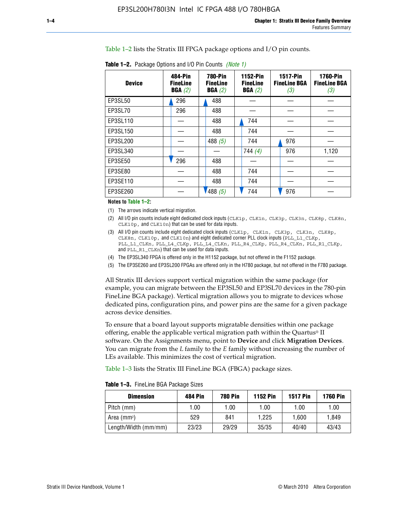Table 1–2 lists the Stratix III FPGA package options and I/O pin counts.

| <b>Device</b> | 484-Pin<br><b>FineLine</b><br>BGA(2) | <b>780-Pin</b><br><b>FineLine</b><br>BGA(2) | 1152-Pin<br><b>FineLine</b><br>BGA(2) | <b>1517-Pin</b><br><b>FineLine BGA</b><br>(3) | <b>1760-Pin</b><br><b>FineLine BGA</b><br>(3) |
|---------------|--------------------------------------|---------------------------------------------|---------------------------------------|-----------------------------------------------|-----------------------------------------------|
| EP3SL50       | 296                                  | 488                                         |                                       |                                               |                                               |
| EP3SL70       | 296                                  | 488                                         |                                       |                                               |                                               |
| EP3SL110      |                                      | 488                                         | 744                                   |                                               |                                               |
| EP3SL150      |                                      | 488                                         | 744                                   |                                               |                                               |
| EP3SL200      |                                      | 488 $(5)$                                   | 744                                   | 976                                           |                                               |
| EP3SL340      |                                      |                                             | 744(4)                                | 976                                           | 1,120                                         |
| EP3SE50       | 296                                  | 488                                         |                                       |                                               |                                               |
| EP3SE80       |                                      | 488                                         | 744                                   |                                               |                                               |
| EP3SE110      |                                      | 488                                         | 744                                   |                                               |                                               |
| EP3SE260      |                                      | 1488(5)                                     | 744                                   | 976                                           |                                               |

**Table 1–2.** Package Options and I/O Pin Counts *(Note 1)*

**Notes to Table 1–2:**

(1) The arrows indicate vertical migration.

- (2) All I/O pin counts include eight dedicated clock inputs (CLK1p, CLK1n, CLK3p, CLK3n, CLK8p, CLK8n, CLK10p, and CLK10n) that can be used for data inputs.
- (3) All I/O pin counts include eight dedicated clock inputs (CLK1p, CLK1n, CLK3p, CLK3n, CLK8p, CLK8n, CLK10p, and CLK10n) and eight dedicated corner PLL clock inputs (PLL\_L1\_CLKp, PLL\_L1\_CLKn, PLL\_L4\_CLKp, PLL\_L4\_CLKn, PLL\_R4\_CLKp, PLL\_R4\_CLKn, PLL\_R1\_CLKp, and PLL\_R1\_CLKn) that can be used for data inputs.
- (4) The EP3SL340 FPGA is offered only in the H1152 package, but not offered in the F1152 package.
- (5) The EP3SE260 and EP3SL200 FPGAs are offered only in the H780 package, but not offered in the F780 package.

All Stratix III devices support vertical migration within the same package (for example, you can migrate between the EP3SL50 and EP3SL70 devices in the 780-pin FineLine BGA package). Vertical migration allows you to migrate to devices whose dedicated pins, configuration pins, and power pins are the same for a given package across device densities.

To ensure that a board layout supports migratable densities within one package offering, enable the applicable vertical migration path within the Quartus® II software. On the Assignments menu, point to **Device** and click **Migration Devices**. You can migrate from the *L* family to the *E* family without increasing the number of LEs available. This minimizes the cost of vertical migration.

Table 1–3 lists the Stratix III FineLine BGA (FBGA) package sizes.

**Table 1–3.** FineLine BGA Package Sizes

| <b>Dimension</b>     | <b>484 Pin</b> | <b>780 Pin</b> | <b>1152 Pin</b> | <b>1517 Pin</b> | <b>1760 Pin</b> |
|----------------------|----------------|----------------|-----------------|-----------------|-----------------|
| Pitch (mm)           | 1.00           | 1.00           | 1.00            | 1.00            | 1.00            |
| Area $(mm2)$         | 529            | 841            | 1.225           | 1.600           | 1.849           |
| Length/Width (mm/mm) | 23/23          | 29/29          | 35/35           | 40/40           | 43/43           |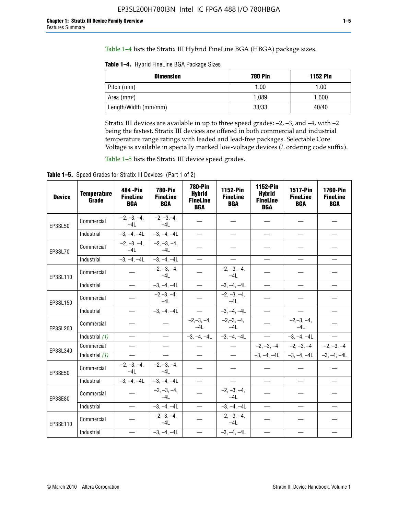Table 1–4 lists the Stratix III Hybrid FineLine BGA (HBGA) package sizes.

**Table 1–4.** Hybrid FineLine BGA Package Sizes

| <b>Dimension</b>        | <b>780 Pin</b> | <b>1152 Pin</b> |
|-------------------------|----------------|-----------------|
| Pitch (mm)              | 1.00           | 1.00            |
| Area (mm <sup>2</sup> ) | 1.089          | 1.600           |
| Length/Width (mm/mm)    | 33/33          | 40/40           |

Stratix III devices are available in up to three speed grades: –2, –3, and –4, with –2 being the fastest. Stratix III devices are offered in both commercial and industrial temperature range ratings with leaded and lead-free packages. Selectable Core Voltage is available in specially marked low-voltage devices (*L* ordering code suffix).

Table 1–5 lists the Stratix III device speed grades.

Table 1-5. Speed Grades for Stratix III Devices (Part 1 of 2)

| <b>Device</b> | <b>Temperature</b><br>Grade | 484 - Pin<br><b>FineLine</b><br><b>BGA</b> | <b>780-Pin</b><br><b>FineLine</b><br><b>BGA</b> | <b>780-Pin</b><br><b>Hybrid</b><br><b>FineLine</b><br><b>BGA</b> | 1152-Pin<br><b>FineLine</b><br><b>BGA</b> | 1152-Pin<br><b>Hybrid</b><br><b>FineLine</b><br><b>BGA</b> | <b>1517-Pin</b><br><b>FineLine</b><br><b>BGA</b> | 1760-Pin<br><b>FineLine</b><br><b>BGA</b> |
|---------------|-----------------------------|--------------------------------------------|-------------------------------------------------|------------------------------------------------------------------|-------------------------------------------|------------------------------------------------------------|--------------------------------------------------|-------------------------------------------|
| EP3SL50       | Commercial                  | $-2, -3, -4,$<br>$-4L$                     | $-2, -3, -4,$<br>$-4L$                          |                                                                  |                                           |                                                            |                                                  |                                           |
|               | Industrial                  | $-3, -4, -4L$                              | $-3, -4, -4L$                                   | $\equiv$                                                         | $\equiv$                                  | $\equiv$                                                   | $\equiv$                                         | $\overline{\phantom{0}}$                  |
| EP3SL70       | Commercial                  | $-2, -3, -4,$<br>$-41$                     | $-2, -3, -4,$<br>$-41$                          |                                                                  |                                           |                                                            |                                                  |                                           |
|               | Industrial                  | $-3, -4, -4L$                              | $-3, -4, -4L$                                   |                                                                  | $\overline{\phantom{0}}$                  | $\equiv$                                                   | $\equiv$                                         | $\equiv$                                  |
| EP3SL110      | Commercial                  |                                            | $-2, -3, -4,$<br>$-4L$                          |                                                                  | $-2, -3, -4,$<br>$-4L$                    |                                                            |                                                  |                                           |
|               | Industrial                  | $\equiv$                                   | $-3, -4, -4L$                                   |                                                                  | $-3, -4, -4L$                             | $\frac{1}{2}$                                              | $\equiv$                                         | $\equiv$                                  |
| EP3SL150      | Commercial                  |                                            | $-2, -3, -4,$<br>$-41$                          |                                                                  | $-2, -3, -4,$<br>$-41$                    |                                                            |                                                  |                                           |
|               | Industrial                  | $\overline{\phantom{m}}$                   | $-3, -4, -4L$                                   | $\overline{\phantom{m}}$                                         | $-3, -4, -4L$                             | $\overline{\phantom{m}}$                                   | $\overline{\phantom{0}}$                         | $\qquad \qquad -$                         |
| EP3SL200      | Commercial                  |                                            |                                                 | $-2, -3, -4,$<br>$-4L$                                           | $-2,-3,-4,$<br>$-4L$                      |                                                            | $-2,-3,-4,$<br>$-4L$                             |                                           |
|               | Industrial (1)              | $\equiv$                                   | $\equiv$                                        | $-3, -4, -4L$                                                    | $-3, -4, -4L$                             | $\overline{\phantom{0}}$                                   | $-3, -4, -4L$                                    | $\equiv$                                  |
| EP3SL340      | Commercial                  | $\equiv$                                   | $\qquad \qquad$                                 | $\overline{\phantom{0}}$                                         | $\overline{\phantom{m}}$                  |                                                            | $-2, -3, -4$ $-2, -3, -4$                        | $-2, -3, -4$                              |
|               | Industrial (1)              |                                            | $\equiv$                                        | $\overline{\phantom{0}}$                                         | $\overline{\phantom{0}}$                  |                                                            | $-3, -4, -4$ $-3, -4, -4$                        | $-3, -4, -4L$                             |
| EP3SE50       | Commercial                  | $-2, -3, -4,$<br>$-4L$                     | $-2, -3, -4,$<br>$-4L$                          |                                                                  |                                           |                                                            |                                                  |                                           |
|               | Industrial                  | $-3, -4, -4L$                              | $-3, -4, -4L$                                   | $\equiv$                                                         | $\equiv$                                  | $\overline{\phantom{0}}$                                   | $\equiv$                                         | $\overline{\phantom{0}}$                  |
| EP3SE80       | Commercial                  |                                            | $-2, -3, -4,$<br>$-41$                          |                                                                  | $-2, -3, -4,$<br>$-41$                    |                                                            |                                                  |                                           |
|               | Industrial                  | $\overline{\phantom{m}}$                   | $-3, -4, -4L$                                   |                                                                  | $-3, -4, -4L$                             | $\qquad \qquad$                                            | $\equiv$                                         |                                           |
| EP3SE110      | Commercial                  |                                            | $-2, -3, -4,$<br>$-4L$                          |                                                                  | $-2, -3, -4,$<br>$-4L$                    |                                                            |                                                  |                                           |
|               | Industrial                  |                                            | $-3, -4, -4L$                                   | $\equiv$                                                         | $-3, -4, -4L$                             |                                                            |                                                  |                                           |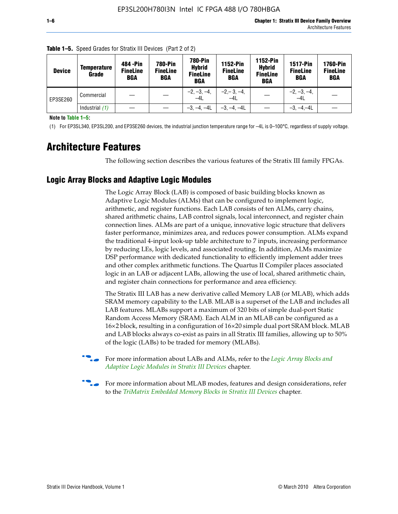| <b>Device</b> | <b>Temperature</b><br>Grade | 484 - Pin<br><b>FineLine</b><br><b>BGA</b> | <b>780-Pin</b><br><b>FineLine</b><br><b>BGA</b> | <b>780-Pin</b><br><b>Hybrid</b><br><b>FineLine</b><br><b>BGA</b> | <b>1152-Pin</b><br><b>FineLine</b><br><b>BGA</b> | <b>1152-Pin</b><br><b>Hybrid</b><br><b>FineLine</b><br><b>BGA</b> | <b>1517-Pin</b><br><b>FineLine</b><br><b>BGA</b> | <b>1760-Pin</b><br><b>FineLine</b><br><b>BGA</b> |
|---------------|-----------------------------|--------------------------------------------|-------------------------------------------------|------------------------------------------------------------------|--------------------------------------------------|-------------------------------------------------------------------|--------------------------------------------------|--------------------------------------------------|
| EP3SE260      | Commercial                  |                                            |                                                 | $-2, -3, -4,$<br>$-4L$                                           | $-2, -3, -4,$<br>$-4L$                           |                                                                   | $-2, -3, -4,$<br>$-4L$                           |                                                  |
|               | Industrial $(1)$            |                                            |                                                 | $-3, -4, -4L$                                                    | $-3, -4, -4L$                                    |                                                                   | $-3, -4, -4L$                                    |                                                  |

**Table 1–5.** Speed Grades for Stratix III Devices (Part 2 of 2)

**Note to Table 1–5:**

(1) For EP3SL340, EP3SL200, and EP3SE260 devices, the industrial junction temperature range for –4L is 0–100°C, regardless of supply voltage.

# **Architecture Features**

The following section describes the various features of the Stratix III family FPGAs.

#### **Logic Array Blocks and Adaptive Logic Modules**

The Logic Array Block (LAB) is composed of basic building blocks known as Adaptive Logic Modules (ALMs) that can be configured to implement logic, arithmetic, and register functions. Each LAB consists of ten ALMs, carry chains, shared arithmetic chains, LAB control signals, local interconnect, and register chain connection lines. ALMs are part of a unique, innovative logic structure that delivers faster performance, minimizes area, and reduces power consumption. ALMs expand the traditional 4-input look-up table architecture to 7 inputs, increasing performance by reducing LEs, logic levels, and associated routing. In addition, ALMs maximize DSP performance with dedicated functionality to efficiently implement adder trees and other complex arithmetic functions. The Quartus II Compiler places associated logic in an LAB or adjacent LABs, allowing the use of local, shared arithmetic chain, and register chain connections for performance and area efficiency.

The Stratix III LAB has a new derivative called Memory LAB (or MLAB), which adds SRAM memory capability to the LAB. MLAB is a superset of the LAB and includes all LAB features. MLABs support a maximum of 320 bits of simple dual-port Static Random Access Memory (SRAM). Each ALM in an MLAB can be configured as a 16×2 block, resulting in a configuration of 16×20 simple dual port SRAM block. MLAB and LAB blocks always co-exist as pairs in all Stratix III families, allowing up to 50% of the logic (LABs) to be traded for memory (MLABs).



f For more information about LABs and ALMs, refer to the *[Logic Array Blocks and](http://www.altera.com/literature/hb/stx3/stx3_siii51002.pdf)  [Adaptive Logic Modules in Stratix III Devices](http://www.altera.com/literature/hb/stx3/stx3_siii51002.pdf)* chapter.



For more information about MLAB modes, features and design considerations, refer to the *[TriMatrix Embedded Memory Blocks in Stratix III Devices](http://www.altera.com/literature/hb/stx3/stx3_siii51004.pdf)* chapter.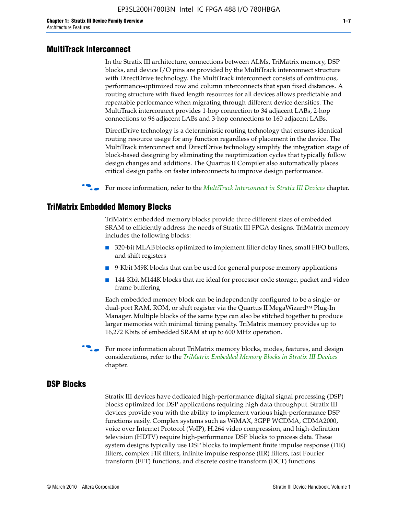#### **MultiTrack Interconnect**

In the Stratix III architecture, connections between ALMs, TriMatrix memory, DSP blocks, and device I/O pins are provided by the MultiTrack interconnect structure with DirectDrive technology. The MultiTrack interconnect consists of continuous, performance-optimized row and column interconnects that span fixed distances. A routing structure with fixed length resources for all devices allows predictable and repeatable performance when migrating through different device densities. The MultiTrack interconnect provides 1-hop connection to 34 adjacent LABs, 2-hop connections to 96 adjacent LABs and 3-hop connections to 160 adjacent LABs.

DirectDrive technology is a deterministic routing technology that ensures identical routing resource usage for any function regardless of placement in the device. The MultiTrack interconnect and DirectDrive technology simplify the integration stage of block-based designing by eliminating the reoptimization cycles that typically follow design changes and additions. The Quartus II Compiler also automatically places critical design paths on faster interconnects to improve design performance.

#### **For more information, refer to the** *[MultiTrack Interconnect in Stratix III Devices](http://www.altera.com/literature/hb/stx3/stx3_siii51003.pdf)* **chapter.**

#### **TriMatrix Embedded Memory Blocks**

TriMatrix embedded memory blocks provide three different sizes of embedded SRAM to efficiently address the needs of Stratix III FPGA designs. TriMatrix memory includes the following blocks:

- 320-bit MLAB blocks optimized to implement filter delay lines, small FIFO buffers, and shift registers
- 9-Kbit M9K blocks that can be used for general purpose memory applications
- 144-Kbit M144K blocks that are ideal for processor code storage, packet and video frame buffering

Each embedded memory block can be independently configured to be a single- or dual-port RAM, ROM, or shift register via the Quartus II MegaWizard™ Plug-In Manager. Multiple blocks of the same type can also be stitched together to produce larger memories with minimal timing penalty. TriMatrix memory provides up to 16,272 Kbits of embedded SRAM at up to 600 MHz operation.

For more information about TriMatrix memory blocks, modes, features, and design considerations, refer to the *[TriMatrix Embedded Memory Blocks in Stratix III Devices](http://www.altera.com/literature/hb/stx3/stx3_siii51004.pdf)* chapter.

#### **DSP Blocks**

Stratix III devices have dedicated high-performance digital signal processing (DSP) blocks optimized for DSP applications requiring high data throughput. Stratix III devices provide you with the ability to implement various high-performance DSP functions easily. Complex systems such as WiMAX, 3GPP WCDMA, CDMA2000, voice over Internet Protocol (VoIP), H.264 video compression, and high-definition television (HDTV) require high-performance DSP blocks to process data. These system designs typically use DSP blocks to implement finite impulse response (FIR) filters, complex FIR filters, infinite impulse response (IIR) filters, fast Fourier transform (FFT) functions, and discrete cosine transform (DCT) functions.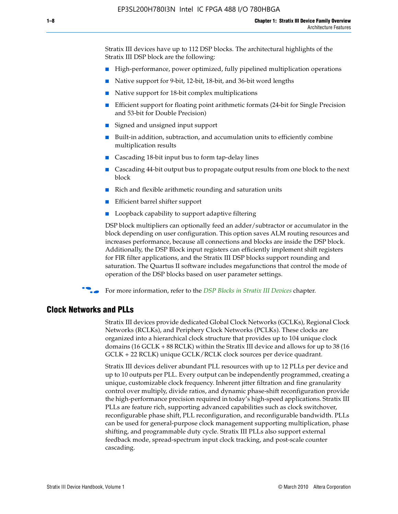Stratix III devices have up to 112 DSP blocks. The architectural highlights of the Stratix III DSP block are the following:

- High-performance, power optimized, fully pipelined multiplication operations
- Native support for 9-bit, 12-bit, 18-bit, and 36-bit word lengths
- Native support for 18-bit complex multiplications
- Efficient support for floating point arithmetic formats (24-bit for Single Precision and 53-bit for Double Precision)
- Signed and unsigned input support
- Built-in addition, subtraction, and accumulation units to efficiently combine multiplication results
- Cascading 18-bit input bus to form tap-delay lines
- Cascading 44-bit output bus to propagate output results from one block to the next block
- Rich and flexible arithmetic rounding and saturation units
- Efficient barrel shifter support
- Loopback capability to support adaptive filtering

DSP block multipliers can optionally feed an adder/subtractor or accumulator in the block depending on user configuration. This option saves ALM routing resources and increases performance, because all connections and blocks are inside the DSP block. Additionally, the DSP Block input registers can efficiently implement shift registers for FIR filter applications, and the Stratix III DSP blocks support rounding and saturation. The Quartus II software includes megafunctions that control the mode of operation of the DSP blocks based on user parameter settings.

f For more information, refer to the *[DSP Blocks in Stratix III Devices](http://www.altera.com/literature/hb/stx3/stx3_siii51005.pdf)* chapter.

#### **Clock Networks and PLLs**

Stratix III devices provide dedicated Global Clock Networks (GCLKs), Regional Clock Networks (RCLKs), and Periphery Clock Networks (PCLKs). These clocks are organized into a hierarchical clock structure that provides up to 104 unique clock domains (16 GCLK + 88 RCLK) within the Stratix III device and allows for up to 38 (16 GCLK + 22 RCLK) unique GCLK/RCLK clock sources per device quadrant.

Stratix III devices deliver abundant PLL resources with up to 12 PLLs per device and up to 10 outputs per PLL. Every output can be independently programmed, creating a unique, customizable clock frequency. Inherent jitter filtration and fine granularity control over multiply, divide ratios, and dynamic phase-shift reconfiguration provide the high-performance precision required in today's high-speed applications. Stratix III PLLs are feature rich, supporting advanced capabilities such as clock switchover, reconfigurable phase shift, PLL reconfiguration, and reconfigurable bandwidth. PLLs can be used for general-purpose clock management supporting multiplication, phase shifting, and programmable duty cycle. Stratix III PLLs also support external feedback mode, spread-spectrum input clock tracking, and post-scale counter cascading.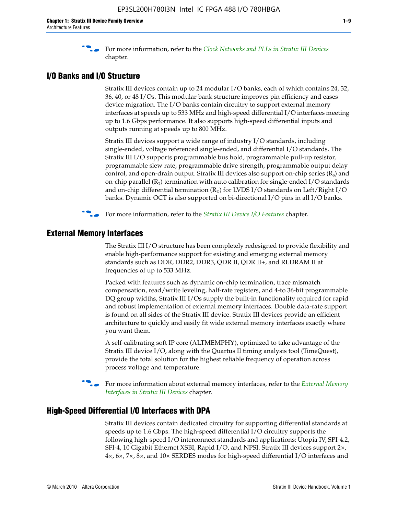f For more information, refer to the *[Clock Networks and PLLs in Stratix III Devices](http://www.altera.com/literature/hb/stx3/stx3_siii51006.pdf)* chapter.

## **I/O Banks and I/O Structure**

Stratix III devices contain up to 24 modular I/O banks, each of which contains 24, 32, 36, 40, or 48 I/Os. This modular bank structure improves pin efficiency and eases device migration. The I/O banks contain circuitry to support external memory interfaces at speeds up to 533 MHz and high-speed differential I/O interfaces meeting up to 1.6 Gbps performance. It also supports high-speed differential inputs and outputs running at speeds up to 800 MHz.

Stratix III devices support a wide range of industry I/O standards, including single-ended, voltage referenced single-ended, and differential I/O standards. The Stratix III I/O supports programmable bus hold, programmable pull-up resistor, programmable slew rate, programmable drive strength, programmable output delay control, and open-drain output. Stratix III devices also support on-chip series  $(R<sub>s</sub>)$  and on-chip parallel  $(R_T)$  termination with auto calibration for single-ended I/O standards and on-chip differential termination  $(R_D)$  for LVDS I/O standards on Left/Right I/O banks. Dynamic OCT is also supported on bi-directional I/O pins in all I/O banks.

**For more information, refer to the** *[Stratix III Device I/O Features](http://www.altera.com/literature/hb/stx3/stx3_siii51007.pdf)* **chapter.** 

## **External Memory Interfaces**

The Stratix III I/O structure has been completely redesigned to provide flexibility and enable high-performance support for existing and emerging external memory standards such as DDR, DDR2, DDR3, QDR II, QDR II+, and RLDRAM II at frequencies of up to 533 MHz.

Packed with features such as dynamic on-chip termination, trace mismatch compensation, read/write leveling, half-rate registers, and 4-to 36-bit programmable DQ group widths, Stratix III I/Os supply the built-in functionality required for rapid and robust implementation of external memory interfaces. Double data-rate support is found on all sides of the Stratix III device. Stratix III devices provide an efficient architecture to quickly and easily fit wide external memory interfaces exactly where you want them.

A self-calibrating soft IP core (ALTMEMPHY), optimized to take advantage of the Stratix III device I/O, along with the Quartus II timing analysis tool (TimeQuest), provide the total solution for the highest reliable frequency of operation across process voltage and temperature.

f For more information about external memory interfaces, refer to the *[External Memory](http://www.altera.com/literature/hb/stx3/stx3_siii51008.pdf)  [Interfaces in Stratix III Devices](http://www.altera.com/literature/hb/stx3/stx3_siii51008.pdf)* chapter.

#### **High-Speed Differential I/O Interfaces with DPA**

Stratix III devices contain dedicated circuitry for supporting differential standards at speeds up to 1.6 Gbps. The high-speed differential I/O circuitry supports the following high-speed I/O interconnect standards and applications: Utopia IV, SPI-4.2, SFI-4, 10 Gigabit Ethernet XSBI, Rapid I/O, and NPSI. Stratix III devices support 2×, 4×, 6×, 7×, 8×, and 10× SERDES modes for high-speed differential I/O interfaces and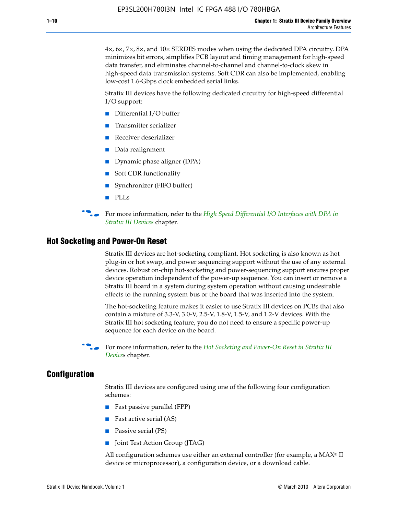4×, 6×, 7×, 8×, and 10× SERDES modes when using the dedicated DPA circuitry. DPA minimizes bit errors, simplifies PCB layout and timing management for high-speed data transfer, and eliminates channel-to-channel and channel-to-clock skew in high-speed data transmission systems. Soft CDR can also be implemented, enabling low-cost 1.6-Gbps clock embedded serial links.

Stratix III devices have the following dedicated circuitry for high-speed differential I/O support:

- Differential I/O buffer
- Transmitter serializer
- Receiver deserializer
- Data realignment
- Dynamic phase aligner (DPA)
- Soft CDR functionality
- Synchronizer (FIFO buffer)
- PLLs

**for more information, refer to the** *High Speed Differential I/O Interfaces with DPA in [Stratix III Devices](http://www.altera.com/literature/hb/stx3/stx3_siii51009.pdf)* chapter.

#### **Hot Socketing and Power-On Reset**

Stratix III devices are hot-socketing compliant. Hot socketing is also known as hot plug-in or hot swap, and power sequencing support without the use of any external devices. Robust on-chip hot-socketing and power-sequencing support ensures proper device operation independent of the power-up sequence. You can insert or remove a Stratix III board in a system during system operation without causing undesirable effects to the running system bus or the board that was inserted into the system.

The hot-socketing feature makes it easier to use Stratix III devices on PCBs that also contain a mixture of 3.3-V, 3.0-V, 2.5-V, 1.8-V, 1.5-V, and 1.2-V devices. With the Stratix III hot socketing feature, you do not need to ensure a specific power-up sequence for each device on the board.

f For more information, refer to the *[Hot Socketing and Power-On Reset in Stratix III](http://www.altera.com/literature/hb/stx3/stx3_siii51010.pdf)  [Device](http://www.altera.com/literature/hb/stx3/stx3_siii51010.pdf)s* chapter.

#### **Configuration**

Stratix III devices are configured using one of the following four configuration schemes:

- Fast passive parallel (FPP)
- Fast active serial (AS)
- Passive serial (PS)
- Joint Test Action Group (JTAG)

All configuration schemes use either an external controller (for example, a  $MAX<sup>®</sup>$  II device or microprocessor), a configuration device, or a download cable.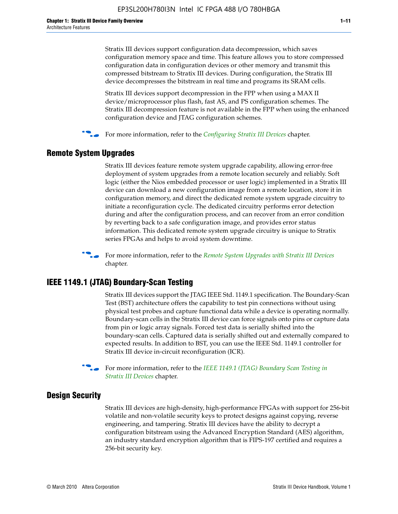Stratix III devices support configuration data decompression, which saves configuration memory space and time. This feature allows you to store compressed configuration data in configuration devices or other memory and transmit this compressed bitstream to Stratix III devices. During configuration, the Stratix III device decompresses the bitstream in real time and programs its SRAM cells.

Stratix III devices support decompression in the FPP when using a MAX II device/microprocessor plus flash, fast AS, and PS configuration schemes. The Stratix III decompression feature is not available in the FPP when using the enhanced configuration device and JTAG configuration schemes.

For more information, refer to the *[Configuring Stratix III Devices](http://www.altera.com/literature/hb/stx3/stx3_siii51011.pdf)* chapter.

#### **Remote System Upgrades**

Stratix III devices feature remote system upgrade capability, allowing error-free deployment of system upgrades from a remote location securely and reliably. Soft logic (either the Nios embedded processor or user logic) implemented in a Stratix III device can download a new configuration image from a remote location, store it in configuration memory, and direct the dedicated remote system upgrade circuitry to initiate a reconfiguration cycle. The dedicated circuitry performs error detection during and after the configuration process, and can recover from an error condition by reverting back to a safe configuration image, and provides error status information. This dedicated remote system upgrade circuitry is unique to Stratix series FPGAs and helps to avoid system downtime.



**For more information, refer to the** *[Remote System Upgrades with Stratix III Devices](http://www.altera.com/literature/hb/stx3/stx3_siii51012.pdf)* chapter.

#### **IEEE 1149.1 (JTAG) Boundary-Scan Testing**

Stratix III devices support the JTAG IEEE Std. 1149.1 specification. The Boundary-Scan Test (BST) architecture offers the capability to test pin connections without using physical test probes and capture functional data while a device is operating normally. Boundary-scan cells in the Stratix III device can force signals onto pins or capture data from pin or logic array signals. Forced test data is serially shifted into the boundary-scan cells. Captured data is serially shifted out and externally compared to expected results. In addition to BST, you can use the IEEE Std. 1149.1 controller for Stratix III device in-circuit reconfiguration (ICR).

For more information, refer to the *IEEE 1149.1 (JTAG) Boundary Scan Testing in [Stratix III Devices](http://www.altera.com/literature/hb/stx3/stx3_siii51013.pdf)* chapter.

#### **Design Security**

Stratix III devices are high-density, high-performance FPGAs with support for 256-bit volatile and non-volatile security keys to protect designs against copying, reverse engineering, and tampering. Stratix III devices have the ability to decrypt a configuration bitstream using the Advanced Encryption Standard (AES) algorithm, an industry standard encryption algorithm that is FIPS-197 certified and requires a 256-bit security key.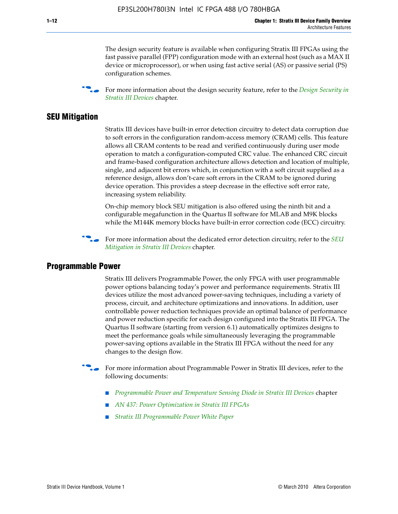The design security feature is available when configuring Stratix III FPGAs using the fast passive parallel (FPP) configuration mode with an external host (such as a MAX II device or microprocessor), or when using fast active serial (AS) or passive serial (PS) configuration schemes.

f For more information about the design security feature, refer to the *[Design Security in](http://www.altera.com/literature/hb/stx3/stx3_siii51014.pdf)  [Stratix III Devices](http://www.altera.com/literature/hb/stx3/stx3_siii51014.pdf)* chapter.

#### **SEU Mitigation**

Stratix III devices have built-in error detection circuitry to detect data corruption due to soft errors in the configuration random-access memory (CRAM) cells. This feature allows all CRAM contents to be read and verified continuously during user mode operation to match a configuration-computed CRC value. The enhanced CRC circuit and frame-based configuration architecture allows detection and location of multiple, single, and adjacent bit errors which, in conjunction with a soft circuit supplied as a reference design, allows don't-care soft errors in the CRAM to be ignored during device operation. This provides a steep decrease in the effective soft error rate, increasing system reliability.

On-chip memory block SEU mitigation is also offered using the ninth bit and a configurable megafunction in the Quartus II software for MLAB and M9K blocks while the M144K memory blocks have built-in error correction code (ECC) circuitry.

For more information about the dedicated error detection circuitry, refer to the *SEU [Mitigation in Stratix III Devices](http://www.altera.com/literature/hb/stx3/stx3_siii51015.pdf)* chapter.

#### **Programmable Power**

Stratix III delivers Programmable Power, the only FPGA with user programmable power options balancing today's power and performance requirements. Stratix III devices utilize the most advanced power-saving techniques, including a variety of process, circuit, and architecture optimizations and innovations. In addition, user controllable power reduction techniques provide an optimal balance of performance and power reduction specific for each design configured into the Stratix III FPGA. The Quartus II software (starting from version 6.1) automatically optimizes designs to meet the performance goals while simultaneously leveraging the programmable power-saving options available in the Stratix III FPGA without the need for any changes to the design flow.

For more information about Programmable Power in Stratix III devices, refer to the following documents:

- *[Programmable Power and Temperature Sensing Diode in Stratix III Devices](http://www.altera.com/literature/hb/stx3/stx3_siii51016.pdf) chapter*
- *[AN 437: Power Optimization in Stratix III FPGAs](http://www.altera.com/literature/an/AN437.pdf)*
- *[Stratix III Programmable Power White Paper](http://www.altera.com/literature/wp/wp-01006.pdf)*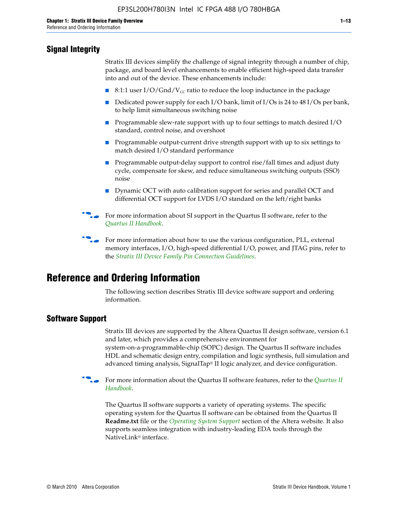## **Signal Integrity**

Stratix III devices simplify the challenge of signal integrity through a number of chip, package, and board level enhancements to enable efficient high-speed data transfer into and out of the device. These enhancements include:

- 8:1:1 user I/O/Gnd/V<sub>cc</sub> ratio to reduce the loop inductance in the package
- Dedicated power supply for each I/O bank, limit of I/Os is 24 to 48 I/Os per bank, to help limit simultaneous switching noise
- Programmable slew-rate support with up to four settings to match desired I/O standard, control noise, and overshoot
- Programmable output-current drive strength support with up to six settings to match desired I/O standard performance
- Programmable output-delay support to control rise/fall times and adjust duty cycle, compensate for skew, and reduce simultaneous switching outputs (SSO) noise
- Dynamic OCT with auto calibration support for series and parallel OCT and differential OCT support for LVDS I/O standard on the left/right banks
- For mor[e](http://www.altera.com/literature/hb/qts/quartusii_handbook.pdf) information about SI support in the Quartus II software, refer to the *[Quartus II Handbook](http://www.altera.com/literature/hb/qts/quartusii_handbook.pdf)*.

For more information about how to use the various configuration, PLL, external memory interfaces, I/O, high-speed differential I/O, power, and JTAG pins, refer to the *[Stratix III Device Family Pin Connection Guidelines](http://www.altera.com/literature/dp/stx3/PCG-01004.pdf)*.

# **Reference and Ordering Information**

The following section describes Stratix III device software support and ordering information.

### **Software Support**

Stratix III devices are supported by the Altera Quartus II design software, version 6.1 and later, which provides a comprehensive environment for system-on-a-programmable-chip (SOPC) design. The Quartus II software includes HDL and schematic design entry, compilation and logic synthesis, full simulation and advanced timing analysis, SignalTap® II logic analyzer, and device configuration.

**For more information about the [Quartus II](http://www.altera.com/literature/hb/qts/quartusii_handbook.pdf) software features, refer to the** *Quartus II* **<b>Fig. 7** *[Handbook](http://www.altera.com/literature/hb/qts/quartusii_handbook.pdf)*.

The Quartus II software supports a variety of operating systems. The specific operating system for the Quartus II software can be obtained from the Quartus II **Readme.txt** file or the *[Operating System Support](http://www.altera.com/support/software/os_support/oss-index.html)* section of the Altera website. It also supports seamless integration with industry-leading EDA tools through the NativeLink® interface.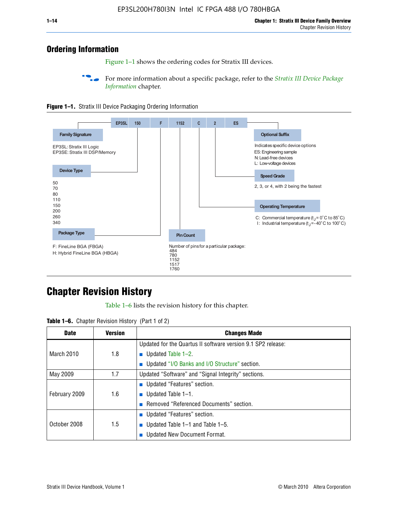## **Ordering Information**

Figure 1–1 shows the ordering codes for Stratix III devices.

For more information about a specific package, refer to the *Stratix III Device Package [Information](http://www.altera.com/literature/hb/stx3/stx3_siii51017.pdf)* chapter.





# **[C](http://www.altera.com/literature/hb/stx3/stx3_siii51012.pdf)hapter Revision History**

Table 1–6 lists the revision history for this chapter.

| <b>Table 1–6.</b> Chapter Revision History (Part 1 of 2) |  |  |  |  |  |
|----------------------------------------------------------|--|--|--|--|--|
|----------------------------------------------------------|--|--|--|--|--|

| <b>Date</b>       | <b>Version</b> | <b>Changes Made</b>                                          |
|-------------------|----------------|--------------------------------------------------------------|
|                   |                | Updated for the Quartus II software version 9.1 SP2 release: |
| <b>March 2010</b> | 1.8            | <b>u</b> Updated Table $1-2$ .                               |
|                   |                | ■ Updated "I/O Banks and I/O Structure" section.             |
| May 2009          | 1.7            | Updated "Software" and "Signal Integrity" sections.          |
|                   |                | Updated "Features" section.                                  |
| February 2009     | 1.6            | <b>u</b> Updated Table $1-1$ .                               |
|                   |                | Removed "Referenced Documents" section.                      |
|                   |                | ■ Updated "Features" section.                                |
| October 2008      | 1.5            | ■ Updated Table 1–1 and Table 1–5.                           |
|                   |                | <b>Updated New Document Format.</b>                          |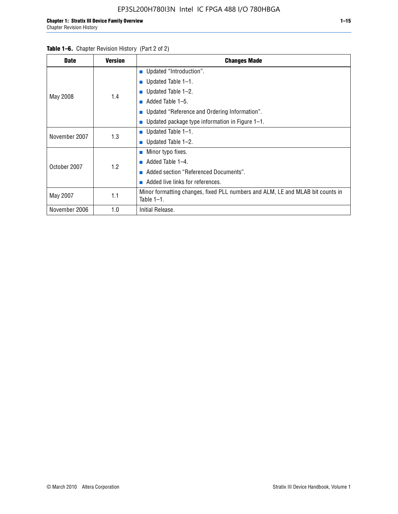#### Table 1–6. Chapter Revision History (Part 2 of 2)

| <b>Date</b>   | <b>Version</b> | <b>Changes Made</b>                                                                             |
|---------------|----------------|-------------------------------------------------------------------------------------------------|
|               |                | <b>Updated "Introduction".</b>                                                                  |
|               |                | ■ Updated Table $1-1$ .                                                                         |
|               | 1.4            | Updated Table 1-2.                                                                              |
| May 2008      |                | Added Table 1-5.<br>ш                                                                           |
|               |                | ■ Updated "Reference and Ordering Information".                                                 |
|               |                | Updated package type information in Figure 1-1.                                                 |
| November 2007 | 1.3            | ■ Updated Table $1-1$ .                                                                         |
|               |                | ■ Updated Table $1-2$ .                                                                         |
|               |                | ■ Minor typo fixes.                                                                             |
| October 2007  | 1.2            | Added Table 1-4.<br>ш                                                                           |
|               |                | Added section "Referenced Documents".                                                           |
|               |                | Added live links for references.                                                                |
| May 2007      | 1.1            | Minor formatting changes, fixed PLL numbers and ALM, LE and MLAB bit counts in<br>Table $1-1$ . |
| November 2006 | 1.0            | Initial Release.                                                                                |